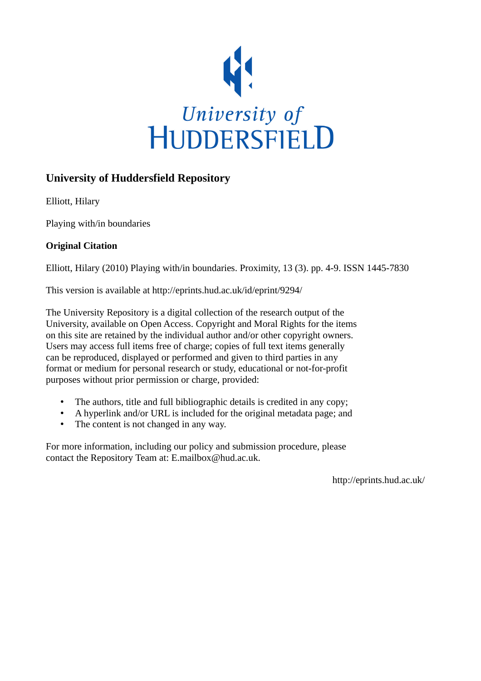

# **University of Huddersfield Repository**

Elliott, Hilary

Playing with/in boundaries

## **Original Citation**

Elliott, Hilary (2010) Playing with/in boundaries. Proximity, 13 (3). pp. 4-9. ISSN 1445-7830

This version is available at http://eprints.hud.ac.uk/id/eprint/9294/

The University Repository is a digital collection of the research output of the University, available on Open Access. Copyright and Moral Rights for the items on this site are retained by the individual author and/or other copyright owners. Users may access full items free of charge; copies of full text items generally can be reproduced, displayed or performed and given to third parties in any format or medium for personal research or study, educational or not-for-profit purposes without prior permission or charge, provided:

- The authors, title and full bibliographic details is credited in any copy;
- A hyperlink and/or URL is included for the original metadata page; and
- The content is not changed in any way.

For more information, including our policy and submission procedure, please contact the Repository Team at: E.mailbox@hud.ac.uk.

http://eprints.hud.ac.uk/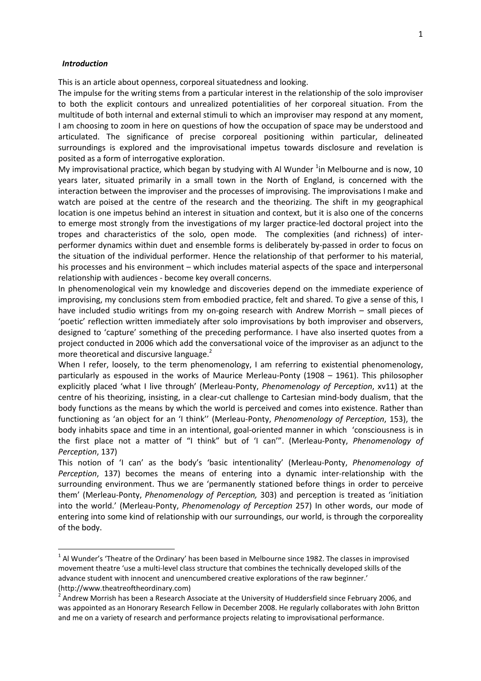#### Introduction

l

This is an article about openness, corporeal situatedness and looking.

The impulse for the writing stems from a particular interest in the relationship of the solo improviser to both the explicit contours and unrealized potentialities of her corporeal situation. From the multitude of both internal and external stimuli to which an improviser may respond at any moment, I am choosing to zoom in here on questions of how the occupation of space may be understood and articulated. The significance of precise corporeal positioning within particular, delineated surroundings is explored and the improvisational impetus towards disclosure and revelation is posited as a form of interrogative exploration.

My improvisational practice, which began by studying with Al Wunder  $^{1}$ in Melbourne and is now, 10 years later, situated primarily in a small town in the North of England, is concerned with the interaction between the improviser and the processes of improvising. The improvisations I make and watch are poised at the centre of the research and the theorizing. The shift in my geographical location is one impetus behind an interest in situation and context, but it is also one of the concerns to emerge most strongly from the investigations of my larger practice-led doctoral project into the tropes and characteristics of the solo, open mode. The complexities (and richness) of interperformer dynamics within duet and ensemble forms is deliberately by-passed in order to focus on the situation of the individual performer. Hence the relationship of that performer to his material, his processes and his environment – which includes material aspects of the space and interpersonal relationship with audiences - become key overall concerns.

In phenomenological vein my knowledge and discoveries depend on the immediate experience of improvising, my conclusions stem from embodied practice, felt and shared. To give a sense of this, I have included studio writings from my on-going research with Andrew Morrish – small pieces of 'poetic' reflection written immediately after solo improvisations by both improviser and observers, designed to 'capture' something of the preceding performance. I have also inserted quotes from a project conducted in 2006 which add the conversational voice of the improviser as an adjunct to the more theoretical and discursive language.<sup>2</sup>

When I refer, loosely, to the term phenomenology, I am referring to existential phenomenology, particularly as espoused in the works of Maurice Merleau-Ponty (1908 – 1961). This philosopher explicitly placed 'what I live through' (Merleau-Ponty, Phenomenology of Perception, xv11) at the centre of his theorizing, insisting, in a clear-cut challenge to Cartesian mind-body dualism, that the body functions as the means by which the world is perceived and comes into existence. Rather than functioning as 'an object for an 'I think'' (Merleau-Ponty, Phenomenology of Perception, 153), the body inhabits space and time in an intentional, goal-oriented manner in which 'consciousness is in the first place not a matter of "I think" but of 'I can'". (Merleau-Ponty, Phenomenology of Perception, 137)

This notion of 'I can' as the body's 'basic intentionality' (Merleau-Ponty, Phenomenology of Perception, 137) becomes the means of entering into a dynamic inter-relationship with the surrounding environment. Thus we are 'permanently stationed before things in order to perceive them' (Merleau-Ponty, Phenomenology of Perception, 303) and perception is treated as 'initiation into the world.' (Merleau-Ponty, Phenomenology of Perception 257) In other words, our mode of entering into some kind of relationship with our surroundings, our world, is through the corporeality of the body.

 $^1$  Al Wunder's 'Theatre of the Ordinary' has been based in Melbourne since 1982. The classes in improvised movement theatre 'use a multi-level class structure that combines the technically developed skills of the advance student with innocent and unencumbered creative explorations of the raw beginner.' (http://www.theatreoftheordinary.com)

 $^2$  Andrew Morrish has been a Research Associate at the University of Huddersfield since February 2006, and was appointed as an Honorary Research Fellow in December 2008. He regularly collaborates with John Britton and me on a variety of research and performance projects relating to improvisational performance.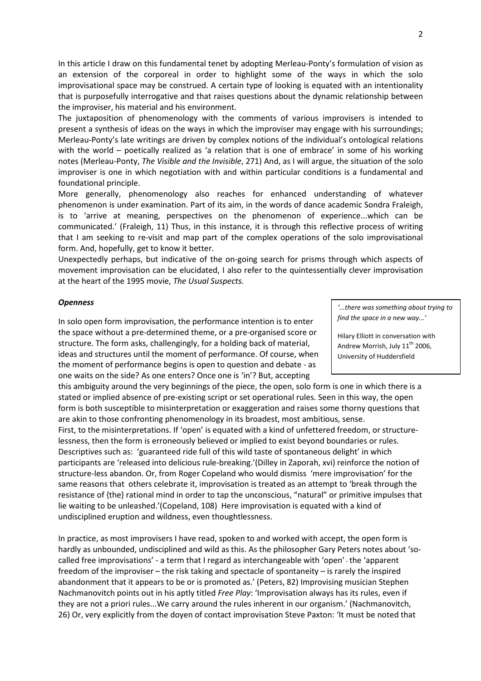In this article I draw on this fundamental tenet by adopting Merleau-Ponty's formulation of vision as an extension of the corporeal in order to highlight some of the ways in which the solo improvisational space may be construed. A certain type of looking is equated with an intentionality that is purposefully interrogative and that raises questions about the dynamic relationship between the improviser, his material and his environment.

The juxtaposition of phenomenology with the comments of various improvisers is intended to present a synthesis of ideas on the ways in which the improviser may engage with his surroundings; Merleau-Ponty's late writings are driven by complex notions of the individual's ontological relations with the world – poetically realized as 'a relation that is one of embrace' in some of his working notes (Merleau-Ponty, The Visible and the Invisible, 271) And, as I will argue, the situation of the solo improviser is one in which negotiation with and within particular conditions is a fundamental and foundational principle.

More generally, phenomenology also reaches for enhanced understanding of whatever phenomenon is under examination. Part of its aim, in the words of dance academic Sondra Fraleigh, is to 'arrive at meaning, perspectives on the phenomenon of experience...which can be communicated.' (Fraleigh, 11) Thus, in this instance, it is through this reflective process of writing that I am seeking to re-visit and map part of the complex operations of the solo improvisational form. And, hopefully, get to know it better.

Unexpectedly perhaps, but indicative of the on-going search for prisms through which aspects of movement improvisation can be elucidated, I also refer to the quintessentially clever improvisation at the heart of the 1995 movie, The Usual Suspects.

#### **Openness**

In solo open form improvisation, the performance intention is to enter the space without a pre-determined theme, or a pre-organised score or structure. The form asks, challengingly, for a holding back of material, ideas and structures until the moment of performance. Of course, when the moment of performance begins is open to question and debate - as one waits on the side? As one enters? Once one is 'in'? But, accepting

this ambiguity around the very beginnings of the piece, the open, solo form is one in which there is a stated or implied absence of pre-existing script or set operational rules. Seen in this way, the open form is both susceptible to misinterpretation or exaggeration and raises some thorny questions that are akin to those confronting phenomenology in its broadest, most ambitious, sense. First, to the misinterpretations. If 'open' is equated with a kind of unfettered freedom, or structurelessness, then the form is erroneously believed or implied to exist beyond boundaries or rules.

Descriptives such as: 'guaranteed ride full of this wild taste of spontaneous delight' in which participants are 'released into delicious rule-breaking.'(Dilley in Zaporah, xvi) reinforce the notion of structure-less abandon. Or, from Roger Copeland who would dismiss 'mere improvisation' for the same reasons that others celebrate it, improvisation is treated as an attempt to 'break through the resistance of {the} rational mind in order to tap the unconscious, "natural" or primitive impulses that lie waiting to be unleashed.'(Copeland, 108) Here improvisation is equated with a kind of undisciplined eruption and wildness, even thoughtlessness.

In practice, as most improvisers I have read, spoken to and worked with accept, the open form is hardly as unbounded, undisciplined and wild as this. As the philosopher Gary Peters notes about 'socalled free improvisations' - a term that I regard as interchangeable with 'open' - the 'apparent freedom of the improviser – the risk taking and spectacle of spontaneity – is rarely the inspired abandonment that it appears to be or is promoted as.' (Peters, 82) Improvising musician Stephen Nachmanovitch points out in his aptly titled Free Play: 'Improvisation always has its rules, even if they are not a priori rules...We carry around the rules inherent in our organism.' (Nachmanovitch, 26) Or, very explicitly from the doyen of contact improvisation Steve Paxton: 'It must be noted that

'...there was something about trying to find the space in a new way...'

Hilary Elliott in conversation with Andrew Morrish, July  $11^{th}$  2006, University of Huddersfield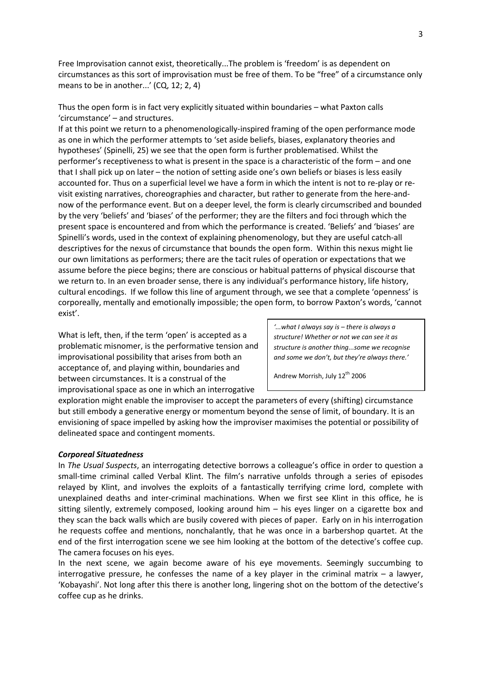Free Improvisation cannot exist, theoretically...The problem is 'freedom' is as dependent on circumstances as this sort of improvisation must be free of them. To be "free" of a circumstance only means to be in another...' (CQ, 12; 2, 4)

Thus the open form is in fact very explicitly situated within boundaries – what Paxton calls 'circumstance' – and structures.

If at this point we return to a phenomenologically-inspired framing of the open performance mode as one in which the performer attempts to 'set aside beliefs, biases, explanatory theories and hypotheses' (Spinelli, 25) we see that the open form is further problematised. Whilst the performer's receptiveness to what is present in the space is a characteristic of the form – and one that I shall pick up on later – the notion of setting aside one's own beliefs or biases is less easily accounted for. Thus on a superficial level we have a form in which the intent is not to re-play or revisit existing narratives, choreographies and character, but rather to generate from the here-andnow of the performance event. But on a deeper level, the form is clearly circumscribed and bounded by the very 'beliefs' and 'biases' of the performer; they are the filters and foci through which the present space is encountered and from which the performance is created. 'Beliefs' and 'biases' are Spinelli's words, used in the context of explaining phenomenology, but they are useful catch-all descriptives for the nexus of circumstance that bounds the open form. Within this nexus might lie our own limitations as performers; there are the tacit rules of operation or expectations that we assume before the piece begins; there are conscious or habitual patterns of physical discourse that we return to. In an even broader sense, there is any individual's performance history, life history, cultural encodings. If we follow this line of argument through, we see that a complete 'openness' is corporeally, mentally and emotionally impossible; the open form, to borrow Paxton's words, 'cannot exist'.

What is left, then, if the term 'open' is accepted as a problematic misnomer, is the performative tension and improvisational possibility that arises from both an acceptance of, and playing within, boundaries and between circumstances. It is a construal of the improvisational space as one in which an interrogative

'...what I always say is – there is always a structure! Whether or not we can see it as structure is another thing...some we recognise and some we don't, but they're always there.'

Andrew Morrish, July 12<sup>th</sup> 2006

exploration might enable the improviser to accept the parameters of every (shifting) circumstance but still embody a generative energy or momentum beyond the sense of limit, of boundary. It is an envisioning of space impelled by asking how the improviser maximises the potential or possibility of delineated space and contingent moments.

#### Corporeal Situatedness

In The Usual Suspects, an interrogating detective borrows a colleague's office in order to question a small-time criminal called Verbal Klint. The film's narrative unfolds through a series of episodes relayed by Klint, and involves the exploits of a fantastically terrifying crime lord, complete with unexplained deaths and inter-criminal machinations. When we first see Klint in this office, he is sitting silently, extremely composed, looking around him – his eyes linger on a cigarette box and they scan the back walls which are busily covered with pieces of paper. Early on in his interrogation he requests coffee and mentions, nonchalantly, that he was once in a barbershop quartet. At the end of the first interrogation scene we see him looking at the bottom of the detective's coffee cup. The camera focuses on his eyes.

In the next scene, we again become aware of his eye movements. Seemingly succumbing to interrogative pressure, he confesses the name of a key player in the criminal matrix  $-$  a lawyer, 'Kobayashi'. Not long after this there is another long, lingering shot on the bottom of the detective's coffee cup as he drinks.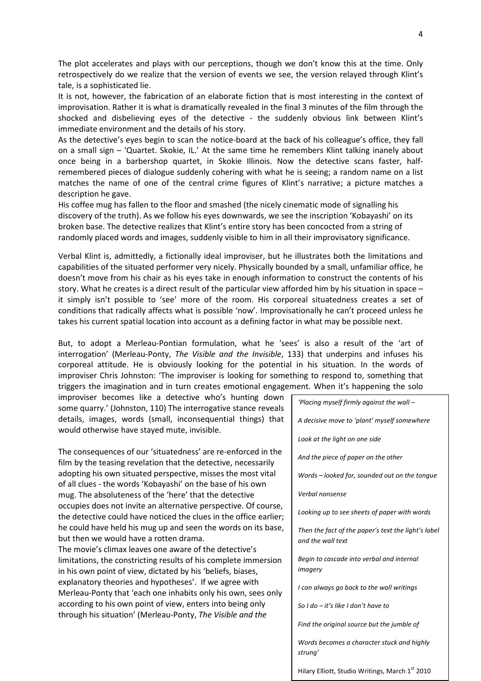The plot accelerates and plays with our perceptions, though we don't know this at the time. Only retrospectively do we realize that the version of events we see, the version relayed through Klint's tale, is a sophisticated lie.

It is not, however, the fabrication of an elaborate fiction that is most interesting in the context of improvisation. Rather it is what is dramatically revealed in the final 3 minutes of the film through the shocked and disbelieving eyes of the detective - the suddenly obvious link between Klint's immediate environment and the details of his story.

As the detective's eyes begin to scan the notice-board at the back of his colleague's office, they fall on a small sign – 'Quartet. Skokie, IL.' At the same time he remembers Klint talking inanely about once being in a barbershop quartet, in Skokie Illinois. Now the detective scans faster, halfremembered pieces of dialogue suddenly cohering with what he is seeing; a random name on a list matches the name of one of the central crime figures of Klint's narrative; a picture matches a description he gave.

His coffee mug has fallen to the floor and smashed (the nicely cinematic mode of signalling his discovery of the truth). As we follow his eyes downwards, we see the inscription 'Kobayashi' on its broken base. The detective realizes that Klint's entire story has been concocted from a string of randomly placed words and images, suddenly visible to him in all their improvisatory significance.

Verbal Klint is, admittedly, a fictionally ideal improviser, but he illustrates both the limitations and capabilities of the situated performer very nicely. Physically bounded by a small, unfamiliar office, he doesn't move from his chair as his eyes take in enough information to construct the contents of his story. What he creates is a direct result of the particular view afforded him by his situation in space – it simply isn't possible to 'see' more of the room. His corporeal situatedness creates a set of conditions that radically affects what is possible 'now'. Improvisationally he can't proceed unless he takes his current spatial location into account as a defining factor in what may be possible next.

But, to adopt a Merleau-Pontian formulation, what he 'sees' is also a result of the 'art of interrogation' (Merleau-Ponty, The Visible and the Invisible, 133) that underpins and infuses his corporeal attitude. He is obviously looking for the potential in his situation. In the words of improviser Chris Johnston: 'The improviser is looking for something to respond to, something that triggers the imagination and in turn creates emotional engagement. When it's happening the solo

improviser becomes like a detective who's hunting down some quarry.' (Johnston, 110) The interrogative stance reveals details, images, words (small, inconsequential things) that would otherwise have stayed mute, invisible.

The consequences of our 'situatedness' are re-enforced in the film by the teasing revelation that the detective, necessarily adopting his own situated perspective, misses the most vital of all clues - the words 'Kobayashi' on the base of his own mug. The absoluteness of the 'here' that the detective occupies does not invite an alternative perspective. Of course, the detective could have noticed the clues in the office earlier; he could have held his mug up and seen the words on its base, but then we would have a rotten drama. The movie's climax leaves one aware of the detective's

limitations, the constricting results of his complete immersion in his own point of view, dictated by his 'beliefs, biases, explanatory theories and hypotheses'. If we agree with Merleau-Ponty that 'each one inhabits only his own, sees only according to his own point of view, enters into being only through his situation' (Merleau-Ponty, The Visible and the

'Placing myself firmly against the wall – A decisive move to 'plant' myself somewhere Look at the light on one side And the piece of paper on the other Words – looked for, sounded out on the tongue Verbal nonsense Looking up to see sheets of paper with words Then the fact of the paper's text the light's label and the wall text Begin to cascade into verbal and internal imagery I can always go back to the wall writings So I do – it's like I don't have to Find the original source but the jumble of Words becomes a character stuck and highly strung'

Hilary Elliott, Studio Writings, March 1st 2010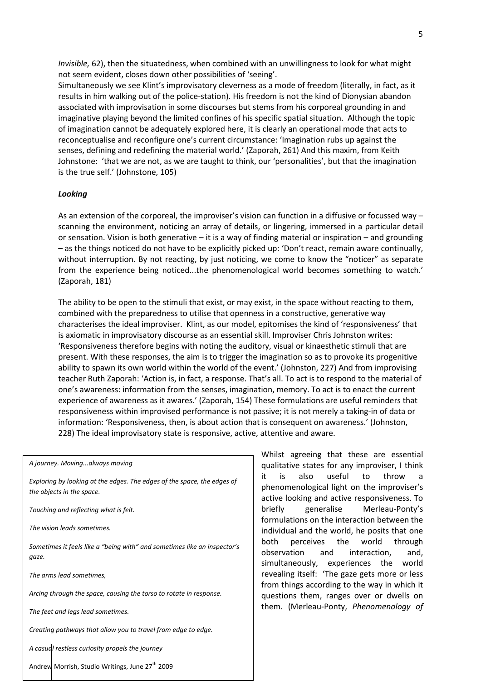Invisible, 62), then the situatedness, when combined with an unwillingness to look for what might not seem evident, closes down other possibilities of 'seeing'.

Simultaneously we see Klint's improvisatory cleverness as a mode of freedom (literally, in fact, as it results in him walking out of the police-station). His freedom is not the kind of Dionysian abandon associated with improvisation in some discourses but stems from his corporeal grounding in and imaginative playing beyond the limited confines of his specific spatial situation. Although the topic of imagination cannot be adequately explored here, it is clearly an operational mode that acts to reconceptualise and reconfigure one's current circumstance: 'Imagination rubs up against the senses, defining and redefining the material world.' (Zaporah, 261) And this maxim, from Keith Johnstone: 'that we are not, as we are taught to think, our 'personalities', but that the imagination is the true self.' (Johnstone, 105)

#### Looking

As an extension of the corporeal, the improviser's vision can function in a diffusive or focussed way – scanning the environment, noticing an array of details, or lingering, immersed in a particular detail or sensation. Vision is both generative – it is a way of finding material or inspiration – and grounding – as the things noticed do not have to be explicitly picked up: 'Don't react, remain aware continually, without interruption. By not reacting, by just noticing, we come to know the "noticer" as separate from the experience being noticed...the phenomenological world becomes something to watch.' (Zaporah, 181)

The ability to be open to the stimuli that exist, or may exist, in the space without reacting to them, combined with the preparedness to utilise that openness in a constructive, generative way characterises the ideal improviser. Klint, as our model, epitomises the kind of 'responsiveness' that is axiomatic in improvisatory discourse as an essential skill. Improviser Chris Johnston writes: 'Responsiveness therefore begins with noting the auditory, visual or kinaesthetic stimuli that are present. With these responses, the aim is to trigger the imagination so as to provoke its progenitive ability to spawn its own world within the world of the event.' (Johnston, 227) And from improvising teacher Ruth Zaporah: 'Action is, in fact, a response. That's all. To act is to respond to the material of one's awareness: information from the senses, imagination, memory. To act is to enact the current experience of awareness as it awares.' (Zaporah, 154) These formulations are useful reminders that responsiveness within improvised performance is not passive; it is not merely a taking-in of data or information: 'Responsiveness, then, is about action that is consequent on awareness.' (Johnston, 228) The ideal improvisatory state is responsive, active, attentive and aware.

A journey. Moving...always moving

Exploring by looking at the edges. The edges of the space, the edges of the objects in the space.

Touching and reflecting what is felt.

The vision leads sometimes.

Sometimes it feels like a "being with" and sometimes like an inspector's gaze.

The arms lead sometimes,

Arcing through the space, causing the torso to rotate in response.

The feet and legs lead sometimes.

Creating pathways that allow you to travel from edge to edge.

A casual restless curiosity propels the journey

Andrew Morrish, Studio Writings, June 27<sup>th</sup> 2009

Whilst agreeing that these are essential qualitative states for any improviser, I think it is also useful to throw a phenomenological light on the improviser's active looking and active responsiveness. To briefly generalise Merleau-Ponty's formulations on the interaction between the individual and the world, he posits that one both perceives the world through observation and interaction, and, simultaneously, experiences the world revealing itself: 'The gaze gets more or less from things according to the way in which it questions them, ranges over or dwells on them. (Merleau-Ponty, Phenomenology of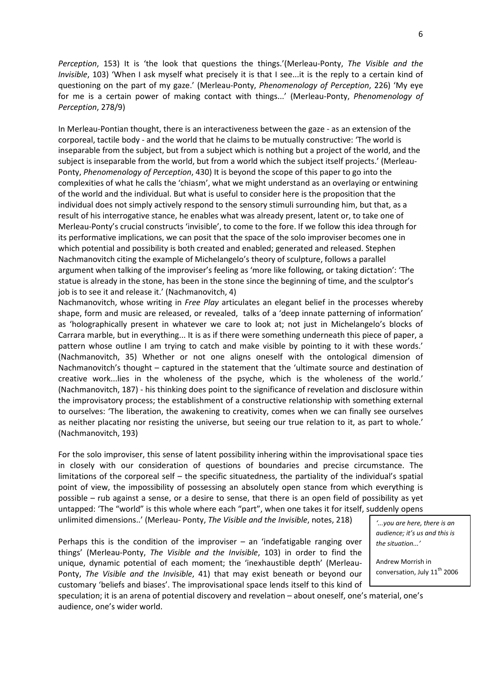Perception, 153) It is 'the look that questions the things.'(Merleau-Ponty, The Visible and the Invisible, 103) 'When I ask myself what precisely it is that I see...it is the reply to a certain kind of questioning on the part of my gaze.' (Merleau-Ponty, Phenomenology of Perception, 226) 'My eye for me is a certain power of making contact with things...' (Merleau-Ponty, Phenomenology of Perception, 278/9)

In Merleau-Pontian thought, there is an interactiveness between the gaze - as an extension of the corporeal, tactile body - and the world that he claims to be mutually constructive: 'The world is inseparable from the subject, but from a subject which is nothing but a project of the world, and the subject is inseparable from the world, but from a world which the subject itself projects.' (Merleau-Ponty, Phenomenology of Perception, 430) It is beyond the scope of this paper to go into the complexities of what he calls the 'chiasm', what we might understand as an overlaying or entwining of the world and the individual. But what is useful to consider here is the proposition that the individual does not simply actively respond to the sensory stimuli surrounding him, but that, as a result of his interrogative stance, he enables what was already present, latent or, to take one of Merleau-Ponty's crucial constructs 'invisible', to come to the fore. If we follow this idea through for its performative implications, we can posit that the space of the solo improviser becomes one in which potential and possibility is both created and enabled; generated and released. Stephen Nachmanovitch citing the example of Michelangelo's theory of sculpture, follows a parallel argument when talking of the improviser's feeling as 'more like following, or taking dictation': 'The statue is already in the stone, has been in the stone since the beginning of time, and the sculptor's job is to see it and release it.' (Nachmanovitch, 4)

Nachmanovitch, whose writing in Free Play articulates an elegant belief in the processes whereby shape, form and music are released, or revealed, talks of a 'deep innate patterning of information' as 'holographically present in whatever we care to look at; not just in Michelangelo's blocks of Carrara marble, but in everything... It is as if there were something underneath this piece of paper, a pattern whose outline I am trying to catch and make visible by pointing to it with these words.' (Nachmanovitch, 35) Whether or not one aligns oneself with the ontological dimension of Nachmanovitch's thought – captured in the statement that the 'ultimate source and destination of creative work...lies in the wholeness of the psyche, which is the wholeness of the world.' (Nachmanovitch, 187) - his thinking does point to the significance of revelation and disclosure within the improvisatory process; the establishment of a constructive relationship with something external to ourselves: 'The liberation, the awakening to creativity, comes when we can finally see ourselves as neither placating nor resisting the universe, but seeing our true relation to it, as part to whole.' (Nachmanovitch, 193)

For the solo improviser, this sense of latent possibility inhering within the improvisational space ties in closely with our consideration of questions of boundaries and precise circumstance. The limitations of the corporeal self – the specific situatedness, the partiality of the individual's spatial point of view, the impossibility of possessing an absolutely open stance from which everything is possible – rub against a sense, or a desire to sense, that there is an open field of possibility as yet untapped: 'The "world" is this whole where each "part", when one takes it for itself, suddenly opens unlimited dimensions..' (Merleau- Ponty, The Visible and the Invisible, notes, 218)

Perhaps this is the condition of the improviser  $-$  an 'indefatigable ranging over things' (Merleau-Ponty, The Visible and the Invisible, 103) in order to find the unique, dynamic potential of each moment; the 'inexhaustible depth' (Merleau-Ponty, The Visible and the Invisible, 41) that may exist beneath or beyond our customary 'beliefs and biases'. The improvisational space lends itself to this kind of

'...you are here, there is an audience; it's us and this is the situation.<sup>'</sup>

Andrew Morrish in conversation, July 11<sup>th</sup> 2006

speculation; it is an arena of potential discovery and revelation – about oneself, one's material, one's audience, one's wider world.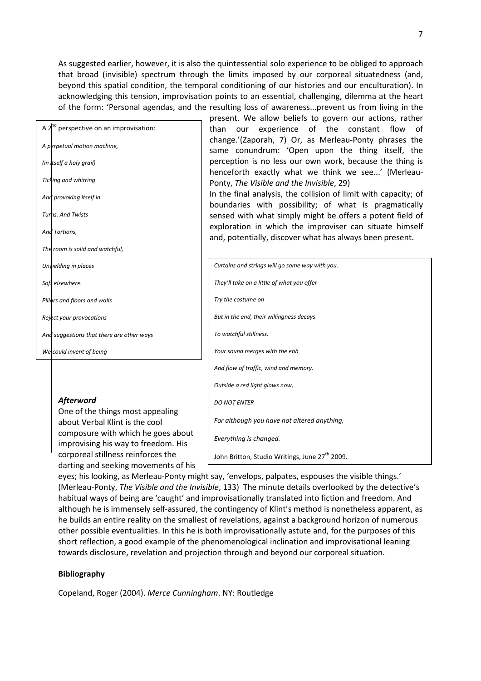As suggested earlier, however, it is also the quintessential solo experience to be obliged to approach that broad (invisible) spectrum through the limits imposed by our corporeal situatedness (and, beyond this spatial condition, the temporal conditioning of our histories and our enculturation). In acknowledging this tension, improvisation points to an essential, challenging, dilemma at the heart of the form: 'Personal agendas, and the resulting loss of awareness...prevent us from living in the

| A 2 <sup>nd</sup> perspective on an improvisation: |  |
|----------------------------------------------------|--|
| A perpetual motion machine,                        |  |
| (in itself a holy grail)                           |  |
| <b>Ticking and whirring</b>                        |  |
| And provoking itself in                            |  |
| <b>Turns. And Twists</b>                           |  |
| And Tortions,                                      |  |
| The room is solid and watchful,                    |  |
| Unvielding in places                               |  |
| Soft elsewhere.                                    |  |
| Pillars and floors and walls                       |  |
| Reject your provocations                           |  |
| And suggestions that there are other ways          |  |
| We could invent of being                           |  |
|                                                    |  |

### Afterword

One of the things most appealing about Verbal Klint is the cool composure with which he goes about improvising his way to freedom. His corporeal stillness reinforces the darting and seeking movements of his present. We allow beliefs to govern our actions, rather than our experience of the constant flow of change.'(Zaporah, 7) Or, as Merleau-Ponty phrases the same conundrum: 'Open upon the thing itself, the perception is no less our own work, because the thing is henceforth exactly what we think we see...' (Merleau-Ponty, The Visible and the Invisible, 29)

In the final analysis, the collision of limit with capacity; of boundaries with possibility; of what is pragmatically sensed with what simply might be offers a potent field of exploration in which the improviser can situate himself and, potentially, discover what has always been present.

| Curtains and strings will go some way with you.            |
|------------------------------------------------------------|
| They'll take on a little of what you offer                 |
| Try the costume on                                         |
| But in the end, their willingness decays                   |
| To watchful stillness.                                     |
| Your sound merges with the ebb                             |
| And flow of traffic, wind and memory.                      |
| Outside a red light glows now,                             |
| <b>DO NOT ENTER</b>                                        |
| For although you have not altered anything,                |
| Everything is changed.                                     |
| John Britton, Studio Writings, June 27 <sup>th</sup> 2009. |

eyes; his looking, as Merleau-Ponty might say, 'envelops, palpates, espouses the visible things.' (Merleau-Ponty, The Visible and the Invisible, 133) The minute details overlooked by the detective's habitual ways of being are 'caught' and improvisationally translated into fiction and freedom. And although he is immensely self-assured, the contingency of Klint's method is nonetheless apparent, as he builds an entire reality on the smallest of revelations, against a background horizon of numerous other possible eventualities. In this he is both improvisationally astute and, for the purposes of this short reflection, a good example of the phenomenological inclination and improvisational leaning towards disclosure, revelation and projection through and beyond our corporeal situation.

#### Bibliography

Copeland, Roger (2004). Merce Cunningham. NY: Routledge